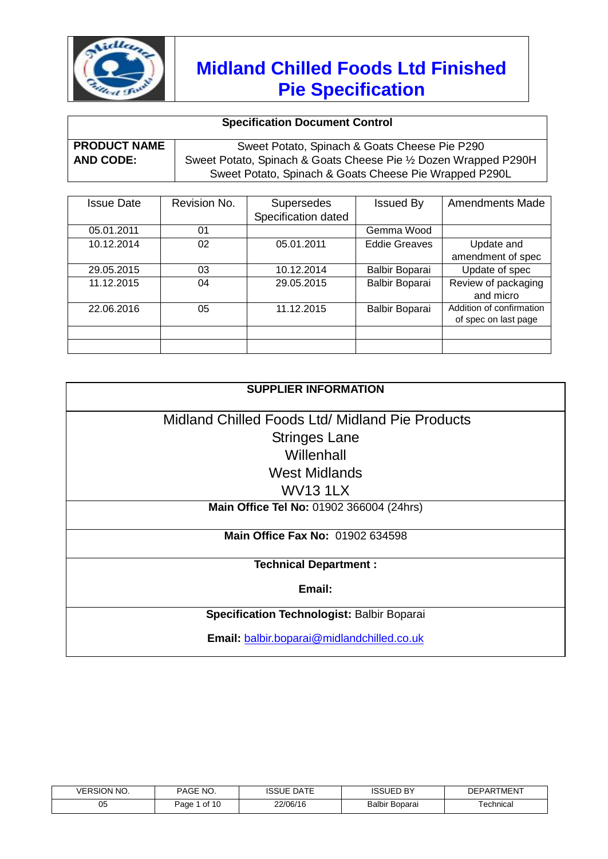

### **Specification Document Control**

| <b>PRODUCT NAME</b> | Sweet Potato, Spinach & Goats Cheese Pie P290                    |
|---------------------|------------------------------------------------------------------|
| <b>AND CODE:</b>    | Sweet Potato, Spinach & Goats Cheese Pie 1/2 Dozen Wrapped P290H |
|                     | Sweet Potato, Spinach & Goats Cheese Pie Wrapped P290L           |

| <b>Issue Date</b> | Revision No. | <b>Supersedes</b>   | <b>Issued By</b>     | <b>Amendments Made</b>   |
|-------------------|--------------|---------------------|----------------------|--------------------------|
|                   |              | Specification dated |                      |                          |
| 05.01.2011        | 01           |                     | Gemma Wood           |                          |
| 10.12.2014        | 02           | 05.01.2011          | <b>Eddie Greaves</b> | Update and               |
|                   |              |                     |                      | amendment of spec        |
| 29.05.2015        | 03           | 10.12.2014          | Balbir Boparai       | Update of spec           |
| 11.12.2015        | 04           | 29.05.2015          | Balbir Boparai       | Review of packaging      |
|                   |              |                     |                      | and micro                |
| 22.06.2016        | 05           | 11.12.2015          | Balbir Boparai       | Addition of confirmation |
|                   |              |                     |                      | of spec on last page     |
|                   |              |                     |                      |                          |
|                   |              |                     |                      |                          |

| <b>SUPPLIER INFORMATION</b>                     |  |  |  |
|-------------------------------------------------|--|--|--|
| Midland Chilled Foods Ltd/ Midland Pie Products |  |  |  |
| <b>Stringes Lane</b>                            |  |  |  |
| Willenhall                                      |  |  |  |
| West Midlands                                   |  |  |  |
| <b>WV131LX</b>                                  |  |  |  |
| Main Office Tel No: 01902 366004 (24hrs)        |  |  |  |
| <b>Main Office Fax No: 01902 634598</b>         |  |  |  |
| <b>Technical Department:</b>                    |  |  |  |
| Email:                                          |  |  |  |
| Specification Technologist: Balbir Boparai      |  |  |  |
| Email: balbir.boparai@midlandchilled.co.uk      |  |  |  |

| <b>SION NO.</b><br><b>/FRSION</b> | NO.<br>PAGE             | $\sim$ $-$<br><b>DATE</b><br>∟טטטו | $\overline{\phantom{a}}$<br>ιн- | rment<br>ם∆ם⊐ר |
|-----------------------------------|-------------------------|------------------------------------|---------------------------------|----------------|
| 05                                | $.$ of 1 $\sim$<br>Paɑe | 22/06/16                           | Balbir Boparai                  | ⊺echnical      |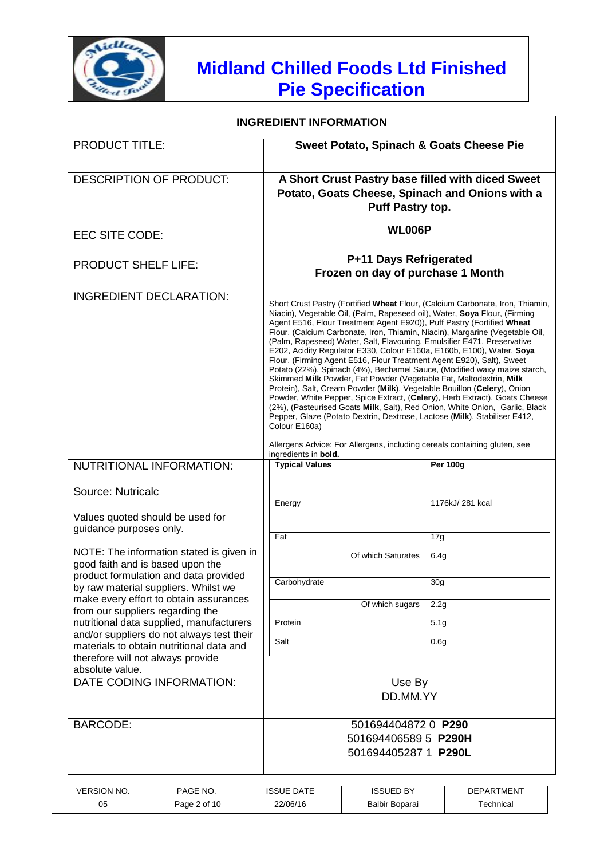

| <b>INGREDIENT INFORMATION</b>                                                                    |                                                                                                                                                                                                                                                                                                                                                                                                                                                                                                                                                                                                                                                                                                                                                                                                                                                                                                                                                                                                                                                                                                                        |                  |  |
|--------------------------------------------------------------------------------------------------|------------------------------------------------------------------------------------------------------------------------------------------------------------------------------------------------------------------------------------------------------------------------------------------------------------------------------------------------------------------------------------------------------------------------------------------------------------------------------------------------------------------------------------------------------------------------------------------------------------------------------------------------------------------------------------------------------------------------------------------------------------------------------------------------------------------------------------------------------------------------------------------------------------------------------------------------------------------------------------------------------------------------------------------------------------------------------------------------------------------------|------------------|--|
| <b>PRODUCT TITLE:</b>                                                                            | Sweet Potato, Spinach & Goats Cheese Pie                                                                                                                                                                                                                                                                                                                                                                                                                                                                                                                                                                                                                                                                                                                                                                                                                                                                                                                                                                                                                                                                               |                  |  |
| <b>DESCRIPTION OF PRODUCT:</b>                                                                   | A Short Crust Pastry base filled with diced Sweet<br>Potato, Goats Cheese, Spinach and Onions with a<br>Puff Pastry top.                                                                                                                                                                                                                                                                                                                                                                                                                                                                                                                                                                                                                                                                                                                                                                                                                                                                                                                                                                                               |                  |  |
| EEC SITE CODE:                                                                                   | <b>WL006P</b>                                                                                                                                                                                                                                                                                                                                                                                                                                                                                                                                                                                                                                                                                                                                                                                                                                                                                                                                                                                                                                                                                                          |                  |  |
| <b>PRODUCT SHELF LIFE:</b>                                                                       | P+11 Days Refrigerated<br>Frozen on day of purchase 1 Month                                                                                                                                                                                                                                                                                                                                                                                                                                                                                                                                                                                                                                                                                                                                                                                                                                                                                                                                                                                                                                                            |                  |  |
| <b>INGREDIENT DECLARATION:</b>                                                                   | Short Crust Pastry (Fortified Wheat Flour, (Calcium Carbonate, Iron, Thiamin,<br>Niacin), Vegetable Oil, (Palm, Rapeseed oil), Water, Soya Flour, (Firming<br>Agent E516, Flour Treatment Agent E920)), Puff Pastry (Fortified Wheat<br>Flour, (Calcium Carbonate, Iron, Thiamin, Niacin), Margarine (Vegetable Oil,<br>(Palm, Rapeseed) Water, Salt, Flavouring, Emulsifier E471, Preservative<br>E202, Acidity Regulator E330, Colour E160a, E160b, E100), Water, Soya<br>Flour, (Firming Agent E516, Flour Treatment Agent E920), Salt), Sweet<br>Potato (22%), Spinach (4%), Bechamel Sauce, (Modified waxy maize starch,<br>Skimmed Milk Powder, Fat Powder (Vegetable Fat, Maltodextrin, Milk<br>Protein), Salt, Cream Powder (Milk), Vegetable Bouillon (Celery), Onion<br>Powder, White Pepper, Spice Extract, (Celery), Herb Extract), Goats Cheese<br>(2%), (Pasteurised Goats Milk, Salt), Red Onion, White Onion, Garlic, Black<br>Pepper, Glaze (Potato Dextrin, Dextrose, Lactose (Milk), Stabiliser E412,<br>Colour E160a)<br>Allergens Advice: For Allergens, including cereals containing gluten, see |                  |  |
| NUTRITIONAL INFORMATION:                                                                         | ingredients in bold.<br><b>Typical Values</b>                                                                                                                                                                                                                                                                                                                                                                                                                                                                                                                                                                                                                                                                                                                                                                                                                                                                                                                                                                                                                                                                          | <b>Per 100g</b>  |  |
| Source: Nutricalc<br>Values quoted should be used for                                            | Energy                                                                                                                                                                                                                                                                                                                                                                                                                                                                                                                                                                                                                                                                                                                                                                                                                                                                                                                                                                                                                                                                                                                 | 1176kJ/ 281 kcal |  |
| guidance purposes only.                                                                          | Fat                                                                                                                                                                                                                                                                                                                                                                                                                                                                                                                                                                                                                                                                                                                                                                                                                                                                                                                                                                                                                                                                                                                    | 17g              |  |
| NOTE: The information stated is given in<br>good faith and is based upon the                     | Of which Saturates                                                                                                                                                                                                                                                                                                                                                                                                                                                                                                                                                                                                                                                                                                                                                                                                                                                                                                                                                                                                                                                                                                     | 6.4g             |  |
| product formulation and data provided<br>by raw material suppliers. Whilst we                    | Carbohydrate                                                                                                                                                                                                                                                                                                                                                                                                                                                                                                                                                                                                                                                                                                                                                                                                                                                                                                                                                                                                                                                                                                           | 30 <sub>q</sub>  |  |
| make every effort to obtain assurances<br>from our suppliers regarding the                       | Of which sugars                                                                                                                                                                                                                                                                                                                                                                                                                                                                                                                                                                                                                                                                                                                                                                                                                                                                                                                                                                                                                                                                                                        | 2.2g             |  |
| nutritional data supplied, manufacturers<br>and/or suppliers do not always test their            | Protein                                                                                                                                                                                                                                                                                                                                                                                                                                                                                                                                                                                                                                                                                                                                                                                                                                                                                                                                                                                                                                                                                                                | 5.1 <sub>g</sub> |  |
| materials to obtain nutritional data and<br>therefore will not always provide<br>absolute value. | Salt                                                                                                                                                                                                                                                                                                                                                                                                                                                                                                                                                                                                                                                                                                                                                                                                                                                                                                                                                                                                                                                                                                                   | 0.6g             |  |
| DATE CODING INFORMATION:                                                                         | Use By<br>DD.MM.YY                                                                                                                                                                                                                                                                                                                                                                                                                                                                                                                                                                                                                                                                                                                                                                                                                                                                                                                                                                                                                                                                                                     |                  |  |
| <b>BARCODE:</b>                                                                                  | 501694404872 0 P290<br>501694406589 5 P290H<br>501694405287 1 P290L                                                                                                                                                                                                                                                                                                                                                                                                                                                                                                                                                                                                                                                                                                                                                                                                                                                                                                                                                                                                                                                    |                  |  |

| <b>VERSION NO.</b> | PAGE NO.     | <b>DATE</b><br><b>ISSUE</b> | <b>ISSUED BY</b>      | <b>DEPARTMENT</b> |
|--------------------|--------------|-----------------------------|-----------------------|-------------------|
| 05                 | Page 2 of 10 | 22/06/16                    | <b>Balbir Boparai</b> | <b>Fechnical</b>  |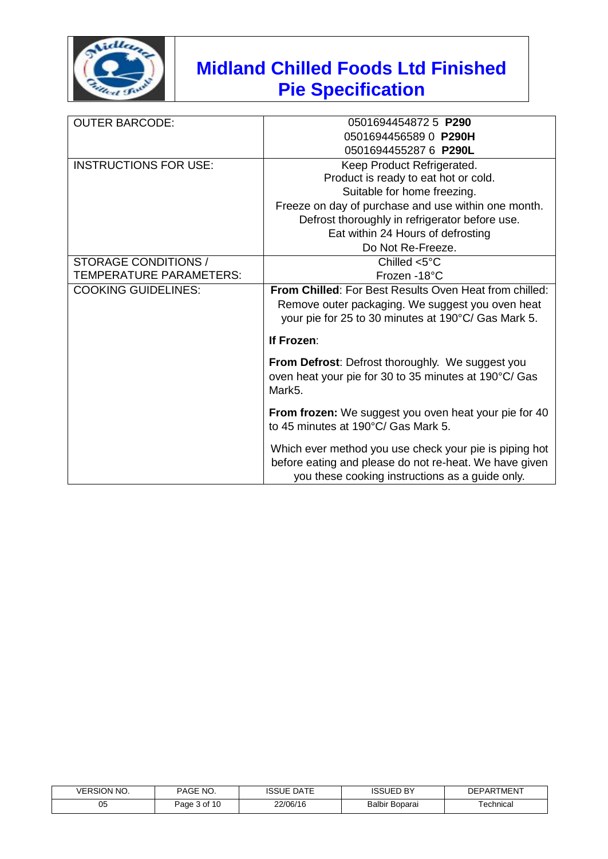

| <b>OUTER BARCODE:</b>          | 0501694454872 5 P290                                          |
|--------------------------------|---------------------------------------------------------------|
|                                | 0501694456589 0 P290H                                         |
|                                | 0501694455287 6 P290L                                         |
| <b>INSTRUCTIONS FOR USE:</b>   | Keep Product Refrigerated.                                    |
|                                | Product is ready to eat hot or cold.                          |
|                                | Suitable for home freezing.                                   |
|                                | Freeze on day of purchase and use within one month.           |
|                                | Defrost thoroughly in refrigerator before use.                |
|                                | Eat within 24 Hours of defrosting                             |
|                                | Do Not Re-Freeze.                                             |
| STORAGE CONDITIONS /           | Chilled $<$ 5 $^{\circ}$ C                                    |
| <b>TEMPERATURE PARAMETERS:</b> | Frozen -18°C                                                  |
| <b>COOKING GUIDELINES:</b>     | <b>From Chilled: For Best Results Oven Heat from chilled:</b> |
|                                | Remove outer packaging. We suggest you oven heat              |
|                                | your pie for 25 to 30 minutes at 190°C/ Gas Mark 5.           |
|                                | If Frozen:                                                    |
|                                | From Defrost: Defrost thoroughly. We suggest you              |
|                                | oven heat your pie for 30 to 35 minutes at 190°C/ Gas         |
|                                | Mark5.                                                        |
|                                | From frozen: We suggest you oven heat your pie for 40         |
|                                | to 45 minutes at 190°C/ Gas Mark 5.                           |
|                                | Which ever method you use check your pie is piping hot        |
|                                | before eating and please do not re-heat. We have given        |
|                                | you these cooking instructions as a guide only.               |

| <b>VERSION NO.</b> | PAGE NO.     | <b>DATE</b><br>ISSUE | <b>ISSUED BY</b>      | <b>DEPARTMENT</b> |
|--------------------|--------------|----------------------|-----------------------|-------------------|
| 05                 | Page 3 of 10 | 22/06/16             | <b>Balbir Boparai</b> | ⊺echnical         |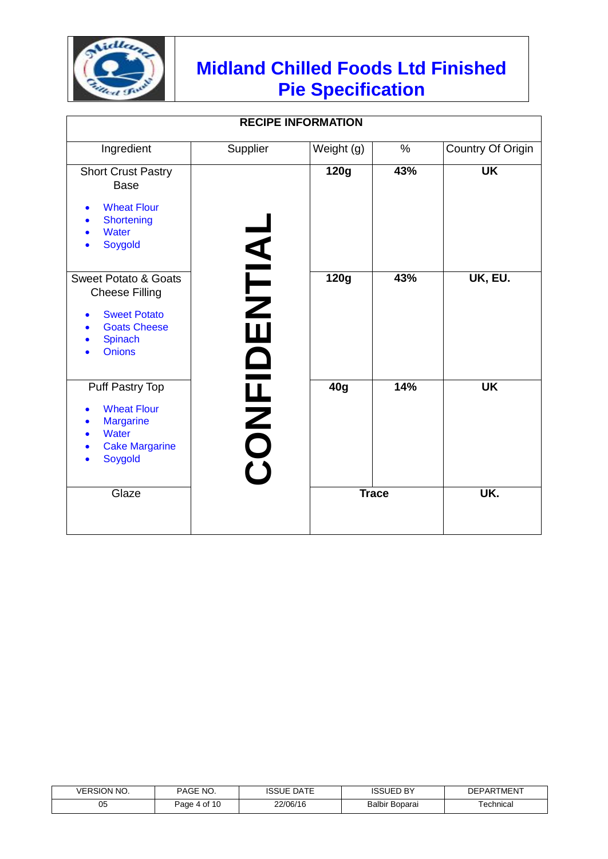

| <b>RECIPE INFORMATION</b>                                                                                                          |           |                 |     |                   |
|------------------------------------------------------------------------------------------------------------------------------------|-----------|-----------------|-----|-------------------|
| Ingredient                                                                                                                         | Supplier  | Weight (g)      | %   | Country Of Origin |
| <b>Short Crust Pastry</b><br><b>Base</b><br><b>Wheat Flour</b><br><b>Shortening</b><br><b>Water</b><br>Soygold                     |           | 120g            | 43% | <b>UK</b>         |
| <b>Sweet Potato &amp; Goats</b><br><b>Cheese Filling</b><br><b>Sweet Potato</b><br><b>Goats Cheese</b><br>Spinach<br><b>Onions</b> | ENTIAL    | 120g            | 43% | UK, EU.           |
| Puff Pastry Top<br><b>Wheat Flour</b><br><b>Margarine</b><br>Water<br><b>Cake Margarine</b><br>Soygold                             | OL<br>NEO | 40 <sub>g</sub> | 14% | <b>UK</b>         |
| Glaze                                                                                                                              |           | <b>Trace</b>    |     | UK.               |

| <b>VERSION NO.</b> | PAGE NO.                                       | <b>DATE</b><br><b>ISSUE</b> | <b>ISSUED BY</b>      | <b>DEPARTMENT</b> |
|--------------------|------------------------------------------------|-----------------------------|-----------------------|-------------------|
| 05                 | $+$ of 1 <sup><math>\circ</math></sup><br>Paɑe | 22/06/16                    | <b>Balbir Boparai</b> | ⊺echnical         |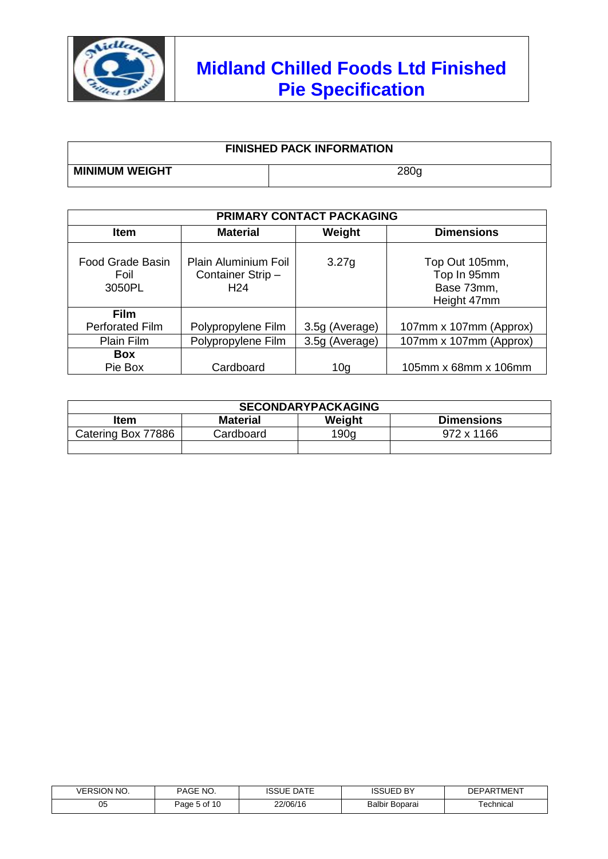

| <b>FINISHED PACK INFORMATION</b> |                  |  |  |
|----------------------------------|------------------|--|--|
| <b>MINIMUM WEIGHT</b>            | 280 <sub>q</sub> |  |  |

| PRIMARY CONTACT PACKAGING                 |                                                             |                |                                                            |  |  |
|-------------------------------------------|-------------------------------------------------------------|----------------|------------------------------------------------------------|--|--|
| <b>Item</b>                               | <b>Material</b>                                             | Weight         | <b>Dimensions</b>                                          |  |  |
| <b>Food Grade Basin</b><br>Foil<br>3050PL | Plain Aluminium Foil<br>Container Strip-<br>H <sub>24</sub> | 3.27g          | Top Out 105mm,<br>Top In 95mm<br>Base 73mm,<br>Height 47mm |  |  |
| <b>Film</b>                               |                                                             |                |                                                            |  |  |
| <b>Perforated Film</b>                    | Polypropylene Film                                          | 3.5g (Average) | 107mm x 107mm (Approx)                                     |  |  |
| Plain Film                                | Polypropylene Film                                          | 3.5g (Average) | 107mm x 107mm (Approx)                                     |  |  |
| <b>Box</b>                                |                                                             |                |                                                            |  |  |
| Pie Box                                   | Cardboard                                                   | 10g            | 105mm x 68mm x 106mm                                       |  |  |

| <b>SECONDARYPACKAGING</b> |                 |        |                   |  |  |  |
|---------------------------|-----------------|--------|-------------------|--|--|--|
| Item                      | <b>Material</b> | Weight | <b>Dimensions</b> |  |  |  |
| Catering Box 77886        | Cardboard       | 190q   | 972 x 1166        |  |  |  |
|                           |                 |        |                   |  |  |  |

| VERSION NO. | `NO.<br>PAGE,               | <b>DATE</b><br>ISSUE | <b>ISSUED BY</b> | <b>DEPARTMENT</b> |
|-------------|-----------------------------|----------------------|------------------|-------------------|
| 05          | ა of 1 <sup>r</sup><br>Page | 22/06/16             | Balbir Boparai   | ⊺echnical         |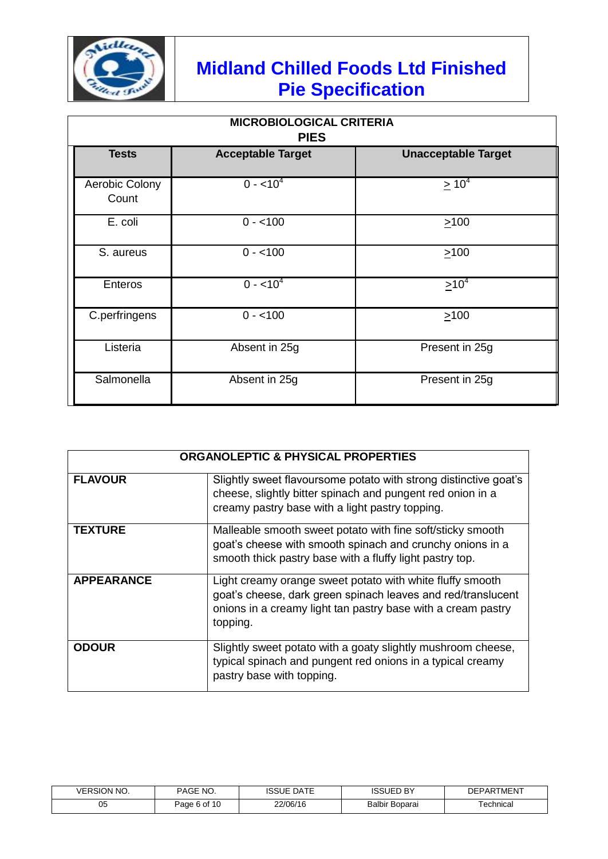

| <b>MICROBIOLOGICAL CRITERIA</b><br><b>PIES</b>                         |               |                |  |  |  |  |
|------------------------------------------------------------------------|---------------|----------------|--|--|--|--|
| <b>Tests</b><br><b>Acceptable Target</b><br><b>Unacceptable Target</b> |               |                |  |  |  |  |
| Aerobic Colony<br>Count                                                | $0 - 10^4$    | $\geq 10^4$    |  |  |  |  |
| E. coli                                                                | $0 - 100$     | $\geq 100$     |  |  |  |  |
| S. aureus                                                              | $0 - 100$     | $\geq 100$     |  |  |  |  |
| Enteros                                                                | $0 - 10^4$    | $\geq 10^{4}$  |  |  |  |  |
| C.perfringens                                                          | $0 - 100$     | >100           |  |  |  |  |
| Listeria                                                               | Absent in 25g | Present in 25g |  |  |  |  |
| Salmonella                                                             | Absent in 25g | Present in 25g |  |  |  |  |

| <b>ORGANOLEPTIC &amp; PHYSICAL PROPERTIES</b> |                                                                                                                                                                                                       |  |  |  |
|-----------------------------------------------|-------------------------------------------------------------------------------------------------------------------------------------------------------------------------------------------------------|--|--|--|
| <b>FLAVOUR</b>                                | Slightly sweet flavoursome potato with strong distinctive goat's<br>cheese, slightly bitter spinach and pungent red onion in a<br>creamy pastry base with a light pastry topping.                     |  |  |  |
| <b>TEXTURE</b>                                | Malleable smooth sweet potato with fine soft/sticky smooth<br>goat's cheese with smooth spinach and crunchy onions in a<br>smooth thick pastry base with a fluffy light pastry top.                   |  |  |  |
| <b>APPEARANCE</b>                             | Light creamy orange sweet potato with white fluffy smooth<br>goat's cheese, dark green spinach leaves and red/translucent<br>onions in a creamy light tan pastry base with a cream pastry<br>topping. |  |  |  |
| <b>ODOUR</b>                                  | Slightly sweet potato with a goaty slightly mushroom cheese,<br>typical spinach and pungent red onions in a typical creamy<br>pastry base with topping.                                               |  |  |  |

| ON NO.<br><b>/FRSK</b> | DAGE<br>NO.<br>AUL | DATF<br>יכו | JED BY<br>$\sim$<br>۰Š۰        | <b>MENT</b><br>1⊏P |
|------------------------|--------------------|-------------|--------------------------------|--------------------|
| 05                     | Page 6 of 10       | 22/06/16    | Balbir<br><sup>.</sup> Boparai | ⊺echnical          |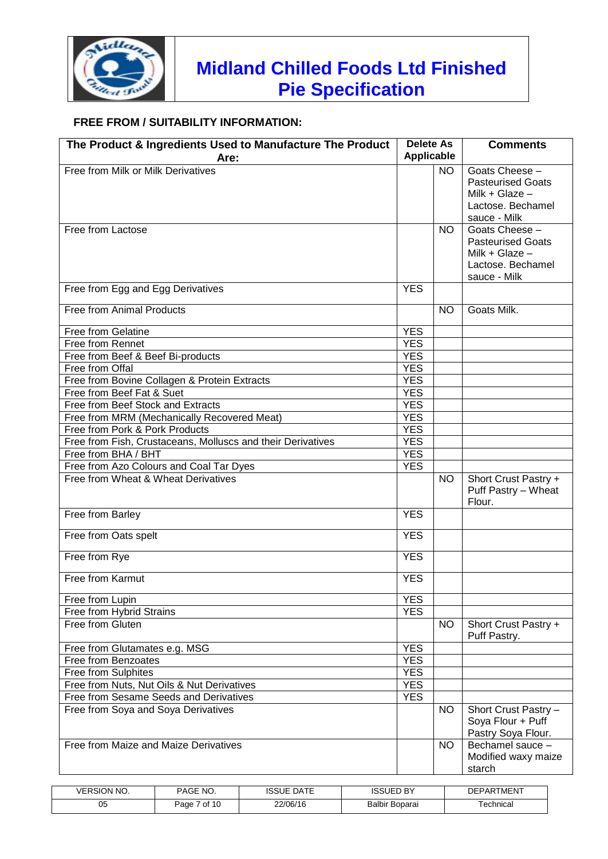

### **FREE FROM / SUITABILITY INFORMATION:**

| The Product & Ingredients Used to Manufacture The Product<br>Are: | <b>Delete As</b><br>Applicable |           | <b>Comments</b>                                                                                     |
|-------------------------------------------------------------------|--------------------------------|-----------|-----------------------------------------------------------------------------------------------------|
| Free from Milk or Milk Derivatives                                |                                | <b>NO</b> | Goats Cheese -<br><b>Pasteurised Goats</b><br>Milk + Glaze $-$<br>Lactose. Bechamel<br>sauce - Milk |
| Free from Lactose                                                 |                                | <b>NO</b> | Goats Cheese -<br><b>Pasteurised Goats</b><br>Milk + Glaze $-$<br>Lactose. Bechamel<br>sauce - Milk |
| Free from Egg and Egg Derivatives                                 | <b>YES</b>                     |           |                                                                                                     |
| Free from Animal Products                                         |                                | <b>NO</b> | Goats Milk.                                                                                         |
| <b>Free from Gelatine</b>                                         | <b>YES</b>                     |           |                                                                                                     |
| Free from Rennet                                                  | <b>YES</b>                     |           |                                                                                                     |
| Free from Beef & Beef Bi-products                                 | <b>YES</b>                     |           |                                                                                                     |
| Free from Offal                                                   | <b>YES</b>                     |           |                                                                                                     |
| Free from Bovine Collagen & Protein Extracts                      | <b>YES</b>                     |           |                                                                                                     |
| Free from Beef Fat & Suet                                         | <b>YES</b>                     |           |                                                                                                     |
| Free from Beef Stock and Extracts                                 | <b>YES</b>                     |           |                                                                                                     |
| Free from MRM (Mechanically Recovered Meat)                       | <b>YES</b>                     |           |                                                                                                     |
| Free from Pork & Pork Products                                    | <b>YES</b>                     |           |                                                                                                     |
| Free from Fish, Crustaceans, Molluscs and their Derivatives       | <b>YES</b>                     |           |                                                                                                     |
| Free from BHA / BHT                                               | <b>YES</b>                     |           |                                                                                                     |
| Free from Azo Colours and Coal Tar Dyes                           | <b>YES</b>                     |           |                                                                                                     |
| Free from Wheat & Wheat Derivatives                               |                                |           |                                                                                                     |
|                                                                   |                                | NO.       | Short Crust Pastry +<br>Puff Pastry - Wheat<br>Flour.                                               |
| Free from Barley                                                  | <b>YES</b>                     |           |                                                                                                     |
| Free from Oats spelt                                              | <b>YES</b>                     |           |                                                                                                     |
| Free from Rye                                                     | <b>YES</b>                     |           |                                                                                                     |
| Free from Karmut                                                  | <b>YES</b>                     |           |                                                                                                     |
| Free from Lupin                                                   | <b>YES</b>                     |           |                                                                                                     |
| Free from Hybrid Strains                                          | <b>YES</b>                     |           |                                                                                                     |
| Free from Gluten                                                  |                                | <b>NO</b> | Short Crust Pastry +<br>Puff Pastry.                                                                |
| Free from Glutamates e.g. MSG                                     | <b>YES</b>                     |           |                                                                                                     |
| Free from Benzoates                                               | <b>YES</b>                     |           |                                                                                                     |
| Free from Sulphites                                               | <b>YES</b>                     |           |                                                                                                     |
| Free from Nuts, Nut Oils & Nut Derivatives                        | <b>YES</b>                     |           |                                                                                                     |
| Free from Sesame Seeds and Derivatives                            | <b>YES</b>                     |           |                                                                                                     |
| Free from Soya and Soya Derivatives                               |                                | <b>NO</b> | Short Crust Pastry -<br>Soya Flour + Puff<br>Pastry Soya Flour.                                     |
| Free from Maize and Maize Derivatives                             |                                | <b>NO</b> | Bechamel sauce -<br>Modified waxy maize<br>starch                                                   |

| <b>VERSION NO.</b> | NO.<br><b>PAGE</b> | <b>DATE</b><br><b>ISSUE</b> | <b>ISSUED BY</b> | <b>DEPARTMENT</b> |
|--------------------|--------------------|-----------------------------|------------------|-------------------|
| 05                 | 7 of 10<br>Paɑe    | 22/06/16                    | Balbir Boparai   | ⊺echnical         |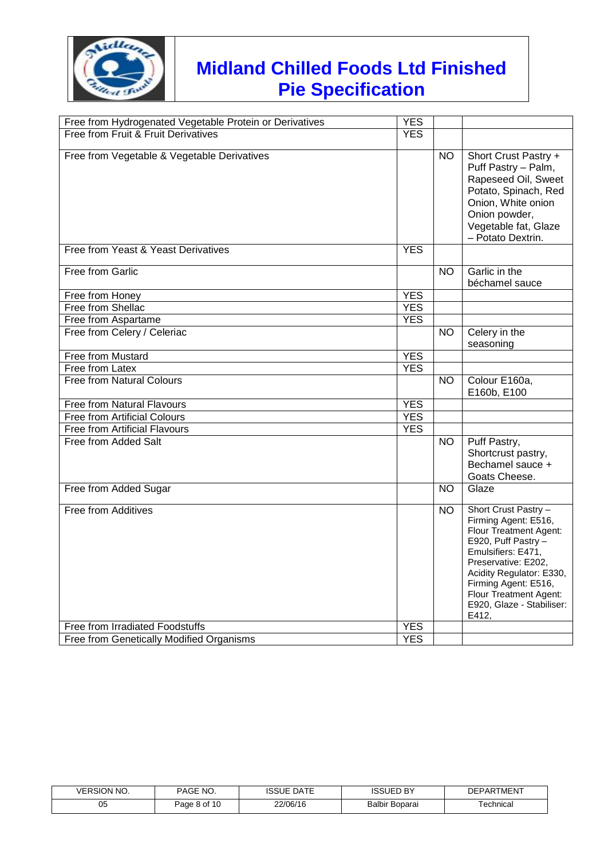

| Free from Hydrogenated Vegetable Protein or Derivatives | <b>YES</b> |           |                                                                                                                                                                                                                                                                |
|---------------------------------------------------------|------------|-----------|----------------------------------------------------------------------------------------------------------------------------------------------------------------------------------------------------------------------------------------------------------------|
| Free from Fruit & Fruit Derivatives                     | <b>YES</b> |           |                                                                                                                                                                                                                                                                |
| Free from Vegetable & Vegetable Derivatives             |            | <b>NO</b> | Short Crust Pastry +<br>Puff Pastry - Palm,<br>Rapeseed Oil, Sweet<br>Potato, Spinach, Red<br>Onion, White onion<br>Onion powder,<br>Vegetable fat, Glaze<br>- Potato Dextrin.                                                                                 |
| Free from Yeast & Yeast Derivatives                     | <b>YES</b> |           |                                                                                                                                                                                                                                                                |
| Free from Garlic                                        |            | NO.       | Garlic in the<br>béchamel sauce                                                                                                                                                                                                                                |
| Free from Honey                                         | <b>YES</b> |           |                                                                                                                                                                                                                                                                |
| Free from Shellac                                       | <b>YES</b> |           |                                                                                                                                                                                                                                                                |
| Free from Aspartame                                     | <b>YES</b> |           |                                                                                                                                                                                                                                                                |
| Free from Celery / Celeriac                             |            | <b>NO</b> | Celery in the<br>seasoning                                                                                                                                                                                                                                     |
| Free from Mustard                                       | <b>YES</b> |           |                                                                                                                                                                                                                                                                |
| Free from Latex                                         | <b>YES</b> |           |                                                                                                                                                                                                                                                                |
| <b>Free from Natural Colours</b>                        |            | <b>NO</b> | Colour E160a,<br>E160b, E100                                                                                                                                                                                                                                   |
| Free from Natural Flavours                              | <b>YES</b> |           |                                                                                                                                                                                                                                                                |
| <b>Free from Artificial Colours</b>                     | <b>YES</b> |           |                                                                                                                                                                                                                                                                |
| <b>Free from Artificial Flavours</b>                    | <b>YES</b> |           |                                                                                                                                                                                                                                                                |
| Free from Added Salt                                    |            | <b>NO</b> | Puff Pastry,<br>Shortcrust pastry,<br>Bechamel sauce +<br>Goats Cheese.                                                                                                                                                                                        |
| Free from Added Sugar                                   |            | <b>NO</b> | Glaze                                                                                                                                                                                                                                                          |
| Free from Additives                                     |            | <b>NO</b> | Short Crust Pastry -<br>Firming Agent: E516,<br>Flour Treatment Agent:<br>E920, Puff Pastry -<br>Emulsifiers: E471,<br>Preservative: E202,<br>Acidity Regulator: E330,<br>Firming Agent: E516,<br>Flour Treatment Agent:<br>E920, Glaze - Stabiliser:<br>E412, |
| Free from Irradiated Foodstuffs                         | <b>YES</b> |           |                                                                                                                                                                                                                                                                |
| Free from Genetically Modified Organisms                | <b>YES</b> |           |                                                                                                                                                                                                                                                                |

| ' NO.<br><b>ERSION</b> | <b>PAGE</b><br><b>NO</b> | <b>DATE</b><br><b>ISSUE</b> | ר BY <sup>-</sup>     | DEPARTMENT |
|------------------------|--------------------------|-----------------------------|-----------------------|------------|
| 05                     | Page 8 of 10             | 22/06/16                    | <b>Balbir Boparai</b> | ⊺echnical  |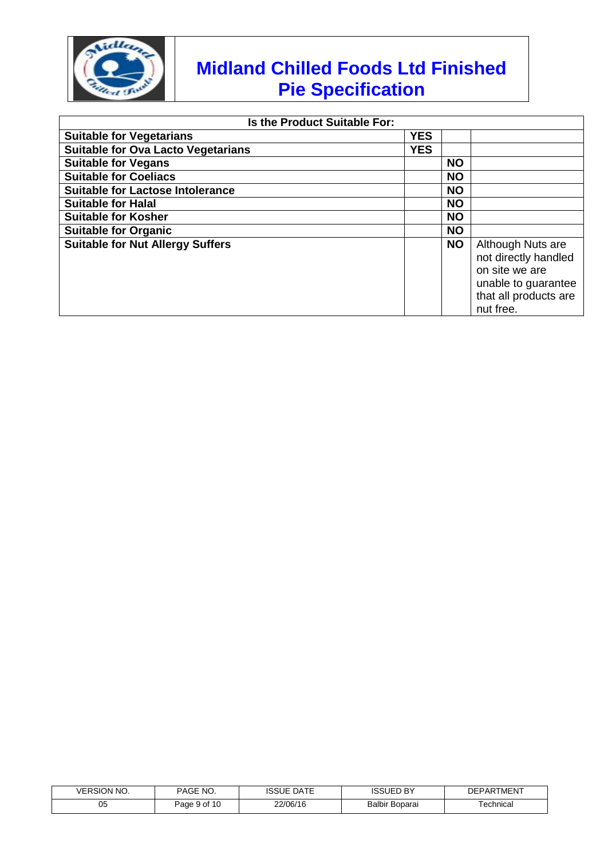

nut free.

| Is the Product Suitable For:              |            |           |                                                                                                             |
|-------------------------------------------|------------|-----------|-------------------------------------------------------------------------------------------------------------|
| <b>Suitable for Vegetarians</b>           | <b>YES</b> |           |                                                                                                             |
| <b>Suitable for Ova Lacto Vegetarians</b> | <b>YES</b> |           |                                                                                                             |
| <b>Suitable for Vegans</b>                |            | <b>NO</b> |                                                                                                             |
| <b>Suitable for Coeliacs</b>              |            | <b>NO</b> |                                                                                                             |
| <b>Suitable for Lactose Intolerance</b>   |            | <b>NO</b> |                                                                                                             |
| <b>Suitable for Halal</b>                 |            | <b>NO</b> |                                                                                                             |
| <b>Suitable for Kosher</b>                |            | <b>NO</b> |                                                                                                             |
| <b>Suitable for Organic</b>               |            | <b>NO</b> |                                                                                                             |
| <b>Suitable for Nut Allergy Suffers</b>   |            | <b>NO</b> | Although Nuts are<br>not directly handled<br>on site we are<br>unable to guarantee<br>that all products are |

| <b>VERSION NO.</b> | PAGE 1<br>NO. | <b>DATE</b><br>ISSUE | . nv<br><b>ISSUED</b> | <b>DEPARTMENT</b> |
|--------------------|---------------|----------------------|-----------------------|-------------------|
| 05                 | Page 9 of 10  | 22/06/16             | <b>Balbir Boparai</b> | ⊺echnical         |